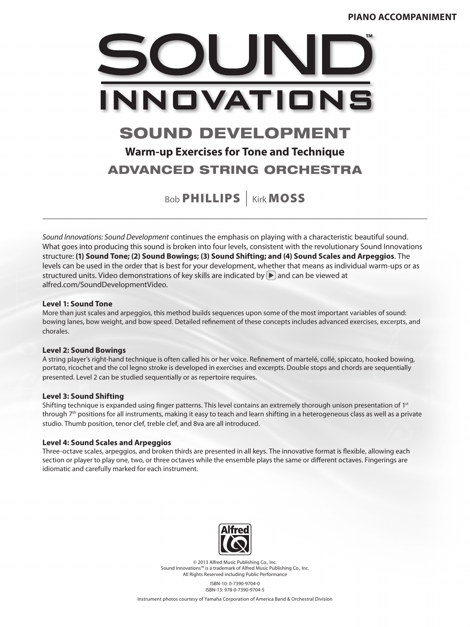

## ADVANCED STRING ORCHESTRA

Bob **PHILLIPS** | Kirk MOSS

*Sound Innovations: Sound Development* continues the emphasis on playing with a characteristic beautiful sound. What goes into producing this sound is broken into four levels, consistent with the revolutionary Sound Innovations structure: **(1) Sound Tone; (2) Sound Bowings; (3) Sound Shifting; and (4) Sound Scales and Arpeggios**. The levels can be used in the order that is best for your development, whether that means as individual warm-ups or as structured units. Video demonstrations of key skills are indicated by  $\triangleright$  and can be viewed at alfred.com/SoundDevelopmentVideo.

#### **Level 1: Sound Tone**

More than just scales and arpeggios, this method builds sequences upon some of the most important variables of sound: bowing lanes, bow weight, and bow speed. Detailed refinement of these concepts includes advanced exercises, excerpts, and chorales.

#### **Level 2: Sound Bowings**

A string player's right-hand technique is often called his or her voice. Refinement of martelé, collé, spiccato, hooked bowing, portato, ricochet and the col legno stroke is developed in exercises and excerpts. Double stops and chords are sequentially presented. Level 2 can be studied sequentially or as repertoire requires.

#### **Level 3: Sound Shifting**

Shifting technique is expanded using finger patterns. This level contains an extremely thorough unison presentation of  $1st$ through 7<sup>th</sup> positions for all instruments, making it easy to teach and learn shifting in a heterogeneous class as well as a private studio. Thumb position, tenor clef, treble clef, and 8va are all introduced.

#### **Level 4: Sound Scales and Arpeggios**

Three-octave scales, arpeggios, and broken thirds are presented in all keys. The innovative format is flexible, allowing each section or player to play one, two, or three octaves while the ensemble plays the same or different octaves. Fingerings are idiomatic and carefully marked for each instrument.



© 2013 Alfred Music Publishing Co., Inc. Sound Innovations™ is a trademark of Alfred Music Publishing Co., Inc. All Rights Reserved including Public Performance

> ISBN-10: 0-7390-9704-0 ISBN-13: 978-0-7390-9704-5

Instrument photos courtesy of Yamaha Corporation of America Band & Orchestral Division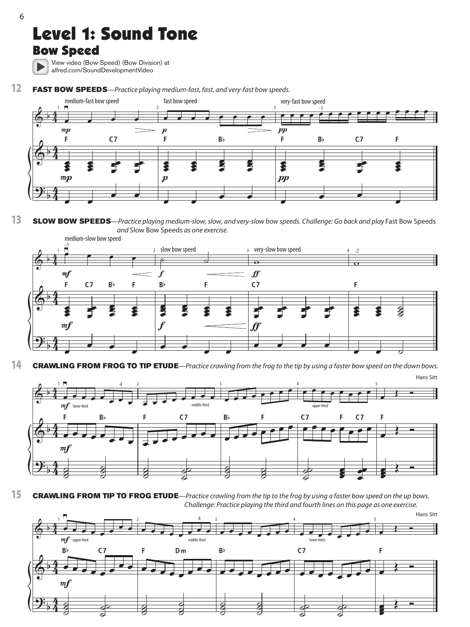

### Bow Speed

View video (Bow Speed) (Bow Division) at alfred.com/SoundDevelopmentVideo

FAST BOW SPEEDS-Practice playing medium-fast, fast, and very-fast bow speeds. 12



#### SLOW BOW SPEEDS-Practice playing medium-slow, slow, and very-slow bow speeds. Challenge: Go back and play Fast Bow Speeds and Slow Bow Speeds as one exercise. 13



**CRAWLING FROM FROG TO TIP ETUDE**—Practice crawling from the frog to the tip by using a faster bow speed on the down bows. 14



**CRAWLING FROM TIP TO FROG ETUDE**—Practice crawling from the tip to the frog by using a faster bow speed on the up bows. Challenge: Practice playing the third and fourth lines on this page as one exercise. 15

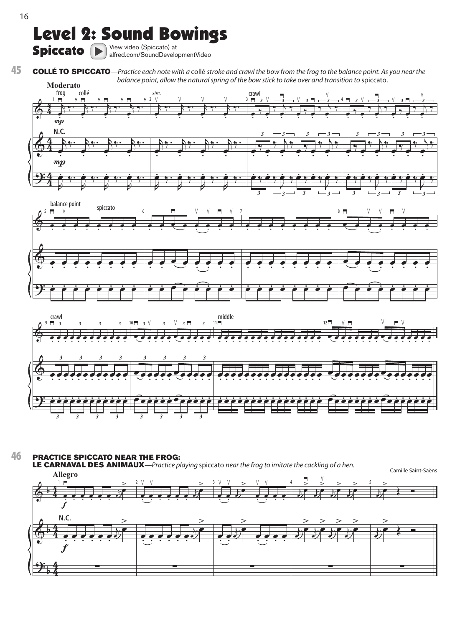# Level 2: Sound Bowings

Spiccato  $\left(\blacktriangleright\right)$  View video (Spiccato) at  $\blacksquare$ 

COLLÉ TO SPICCATO—Practice each note with a collé stroke and crawl the bow from the frog to the balance point. As you near the balance point, allow the natural spring of the bow stick to take over and transition to spiccato. 45







PRACTICE SPICCATO NEAR THE FROG: 46